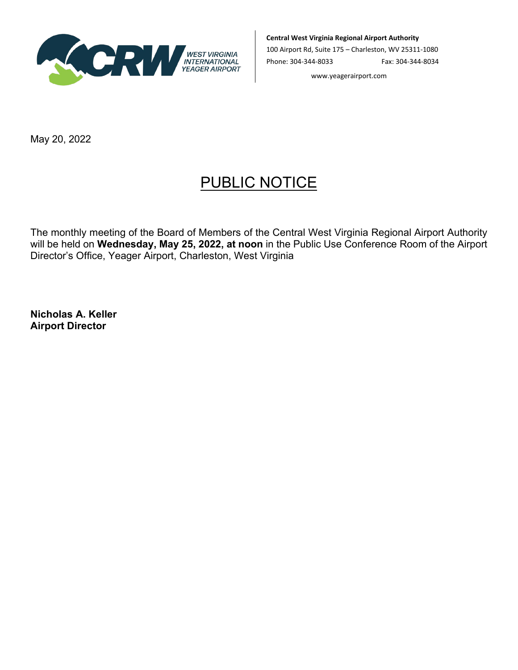

**Central West Virginia Regional Airport Authority**

100 Airport Rd, Suite 175 – Charleston, WV 25311-1080 Phone: 304-344-8033 Fax: 304-344-8034

www.yeagerairport.com

May 20, 2022

## PUBLIC NOTICE

The monthly meeting of the Board of Members of the Central West Virginia Regional Airport Authority will be held on **Wednesday, May 25, 2022, at noon** in the Public Use Conference Room of the Airport Director's Office, Yeager Airport, Charleston, West Virginia

**Nicholas A. Keller Airport Director**